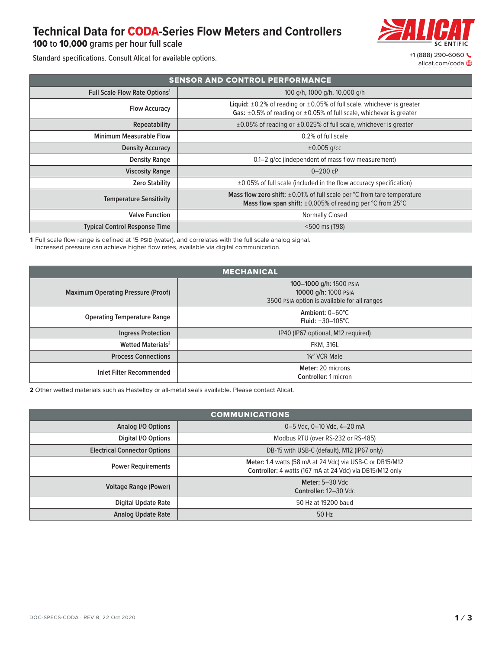## **Technical Data for** CODA**-Series Flow Meters and Controllers**

100 **to** 10**,**000 **grams per hour full scale**

[alicat.com/coda](https://www.alicat.com/coda)

Standard specifications. Consult Alicat for available options. <br>
Alicat consult Alicat for available options.

| <b>SENSOR AND CONTROL PERFORMANCE</b>           |                                                                                                                                                                              |  |  |  |  |
|-------------------------------------------------|------------------------------------------------------------------------------------------------------------------------------------------------------------------------------|--|--|--|--|
| <b>Full Scale Flow Rate Options<sup>1</sup></b> | 100 q/h, 1000 g/h, 10,000 g/h                                                                                                                                                |  |  |  |  |
| <b>Flow Accuracy</b>                            | <b>Liquid:</b> $\pm 0.2\%$ of reading or $\pm 0.05\%$ of full scale, whichever is greater<br>Gas: $\pm 0.5\%$ of reading or $\pm 0.05\%$ of full scale, whichever is greater |  |  |  |  |
| Repeatability                                   | $\pm 0.05\%$ of reading or $\pm 0.025\%$ of full scale, whichever is greater                                                                                                 |  |  |  |  |
| <b>Minimum Measurable Flow</b>                  | 0.2% of full scale                                                                                                                                                           |  |  |  |  |
| <b>Density Accuracy</b>                         | $\pm 0.005$ g/cc                                                                                                                                                             |  |  |  |  |
| <b>Density Range</b>                            | 0.1–2 g/cc (independent of mass flow measurement)                                                                                                                            |  |  |  |  |
| <b>Viscosity Range</b>                          | $0 - 200$ cP                                                                                                                                                                 |  |  |  |  |
| <b>Zero Stability</b>                           | $\pm$ 0.05% of full scale (included in the flow accuracy specification)                                                                                                      |  |  |  |  |
| <b>Temperature Sensitivity</b>                  | Mass flow zero shift: $\pm 0.01\%$ of full scale per $\degree$ C from tare temperature<br>Mass flow span shift: $\pm 0.005\%$ of reading per °C from 25°C                    |  |  |  |  |
| <b>Valve Function</b>                           | <b>Normally Closed</b>                                                                                                                                                       |  |  |  |  |
| <b>Typical Control Response Time</b>            | <500 ms (T98)                                                                                                                                                                |  |  |  |  |

**1** Full scale flow range is defined at 15 PSID (water), and correlates with the full scale analog signal. Increased pressure can achieve higher flow rates, available via digital communication.

| <b>MECHANICAL</b>                         |                                                                                                 |  |  |  |  |  |
|-------------------------------------------|-------------------------------------------------------------------------------------------------|--|--|--|--|--|
| <b>Maximum Operating Pressure (Proof)</b> | 100-1000 g/h: 1500 PSIA<br>10000 g/h: 1000 PSIA<br>3500 PSIA option is available for all ranges |  |  |  |  |  |
| <b>Operating Temperature Range</b>        | Ambient: 0-60°C<br>Fluid: $-30-105^{\circ}$ C                                                   |  |  |  |  |  |
| <b>Ingress Protection</b>                 | IP40 (IP67 optional, M12 required)                                                              |  |  |  |  |  |
| <b>Wetted Materials<sup>2</sup></b>       | <b>FKM, 316L</b>                                                                                |  |  |  |  |  |
| <b>Process Connections</b>                | 1/4" VCR Male                                                                                   |  |  |  |  |  |
| Inlet Filter Recommended                  | Meter: 20 microns<br>Controller: 1 micron                                                       |  |  |  |  |  |

**2** Other wetted materials such as Hastelloy or all-metal seals available. Please contact Alicat.

| <b>COMMUNICATIONS</b>               |                                                                                                                      |  |  |  |  |  |
|-------------------------------------|----------------------------------------------------------------------------------------------------------------------|--|--|--|--|--|
| <b>Analog I/O Options</b>           | 0-5 Vdc, 0-10 Vdc, 4-20 mA                                                                                           |  |  |  |  |  |
| <b>Digital I/O Options</b>          | Modbus RTU (over RS-232 or RS-485)                                                                                   |  |  |  |  |  |
| <b>Electrical Connector Options</b> | DB-15 with USB-C (default), M12 (IP67 only)                                                                          |  |  |  |  |  |
| <b>Power Requirements</b>           | Meter: 1.4 watts (58 mA at 24 Vdc) via USB-C or DB15/M12<br>Controller: 4 watts (167 mA at 24 Vdc) via DB15/M12 only |  |  |  |  |  |
| <b>Voltage Range (Power)</b>        | <b>Meter: 5-30 Vdc</b><br>Controller: 12-30 Vdc                                                                      |  |  |  |  |  |
| <b>Digital Update Rate</b>          | 50 Hz at 19200 baud                                                                                                  |  |  |  |  |  |
| <b>Analog Update Rate</b>           | 50 Hz                                                                                                                |  |  |  |  |  |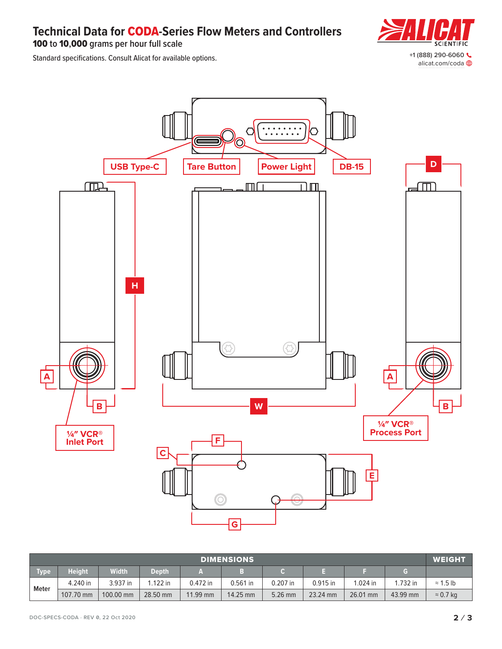**Technical Data for** CODA**-Series Flow Meters and Controllers**

100 **to** 10**,**000 **grams per hour full scale**

[alicat.com/coda](https://www.alicat.com/coda)

Standard specifications. Consult Alicat for available options. <br>
Alicat consult Alicat for available options.



| <b>DIMENSIONS</b> |               |           |            |          |            |            |          |          | <b>WEIGHT</b> |                  |
|-------------------|---------------|-----------|------------|----------|------------|------------|----------|----------|---------------|------------------|
| <b>Type</b>       | <b>Height</b> | Width     | Depth      |          |            |            |          |          | G             |                  |
| <b>Meter</b>      | 4.240 in      | 3.937 in  | $1.122$ in | 0.472 in | $0.561$ in | $0.207$ in | 0.915 in | 1.024 in | 1.732 in      | $\approx$ 1.5 lb |
|                   | 107.70 mm     | 100.00 mm | 28.50 mm   | 11.99 mm | 14.25 mm   | 5.26 mm    | 23.24 mm | 26.01 mm | 43.99 mm      | $\approx$ 0.7 kg |